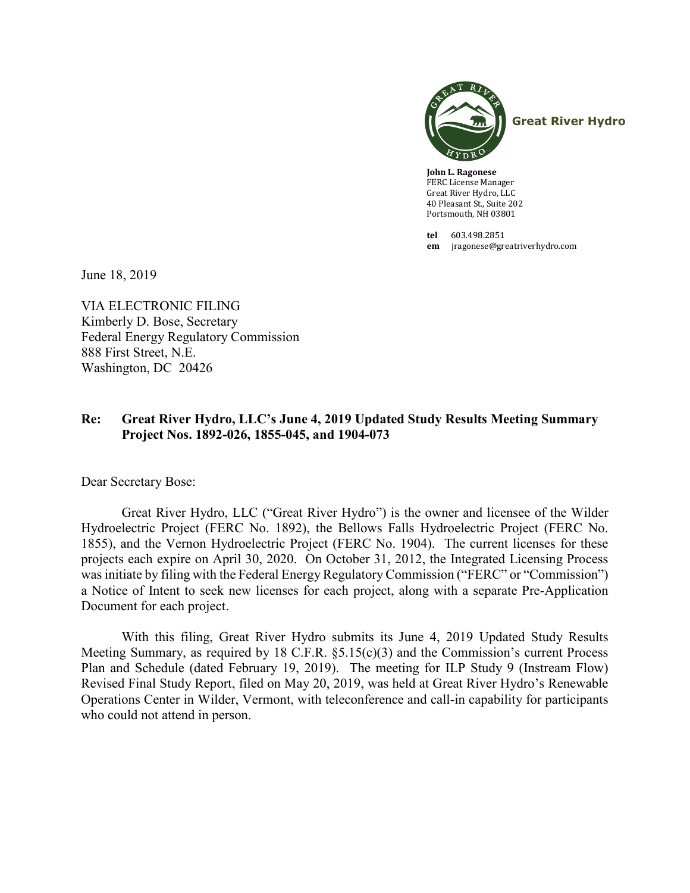

**John L. Ragonese** FERC License Manager Great River Hydro, LLC 40 Pleasant St., Suite 202 Portsmouth, NH 03801

**tel** 603.498.2851 **em** jragonese@greatriverhydro.com

June 18, 2019

VIA ELECTRONIC FILING Kimberly D. Bose, Secretary Federal Energy Regulatory Commission 888 First Street, N.E. Washington, DC 20426

#### **Re: Great River Hydro, LLC's June 4, 2019 Updated Study Results Meeting Summary Project Nos. 1892-026, 1855-045, and 1904-073**

Dear Secretary Bose:

Great River Hydro, LLC ("Great River Hydro") is the owner and licensee of the Wilder Hydroelectric Project (FERC No. 1892), the Bellows Falls Hydroelectric Project (FERC No. 1855), and the Vernon Hydroelectric Project (FERC No. 1904). The current licenses for these projects each expire on April 30, 2020. On October 31, 2012, the Integrated Licensing Process was initiate by filing with the Federal Energy Regulatory Commission ("FERC" or "Commission") a Notice of Intent to seek new licenses for each project, along with a separate Pre-Application Document for each project.

With this filing, Great River Hydro submits its June 4, 2019 Updated Study Results Meeting Summary, as required by 18 C.F.R. §5.15(c)(3) and the Commission's current Process Plan and Schedule (dated February 19, 2019). The meeting for ILP Study 9 (Instream Flow) Revised Final Study Report, filed on May 20, 2019, was held at Great River Hydro's Renewable Operations Center in Wilder, Vermont, with teleconference and call-in capability for participants who could not attend in person.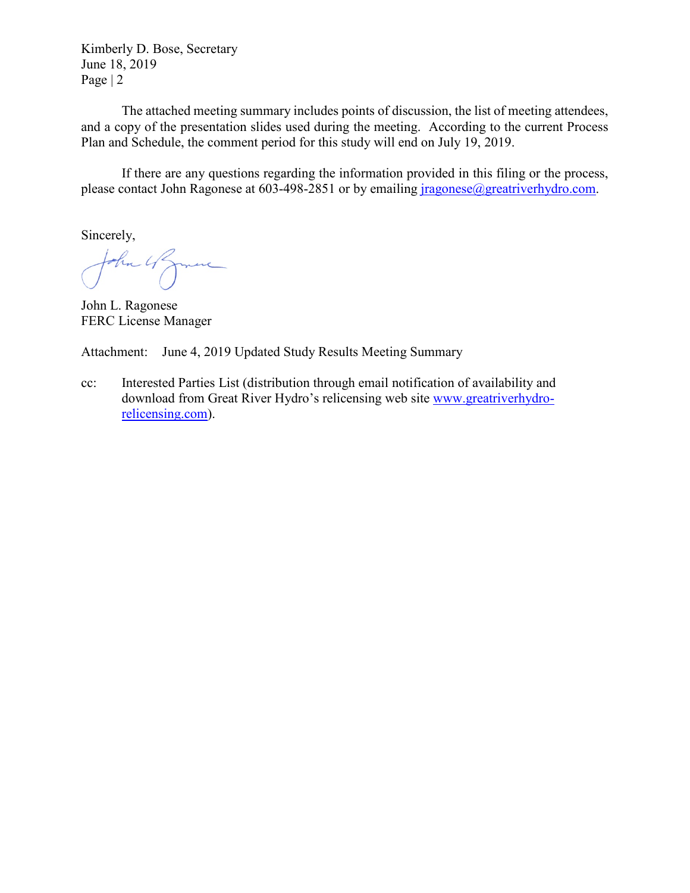Kimberly D. Bose, Secretary June 18, 2019 Page | 2

The attached meeting summary includes points of discussion, the list of meeting attendees, and a copy of the presentation slides used during the meeting. According to the current Process Plan and Schedule, the comment period for this study will end on July 19, 2019.

If there are any questions regarding the information provided in this filing or the process, please contact John Ragonese at 603-498-2851 or by emailing *jragonese@greatriverhydro.com.* 

Sincerely,

John 4 James

John L. Ragonese FERC License Manager

Attachment: June 4, 2019 Updated Study Results Meeting Summary

cc: Interested Parties List (distribution through email notification of availability and download from Great River Hydro's relicensing web site [www.greatriverhydro](http://www.greatriverhydro-relicensing.com/)[relicensing.com\)](http://www.greatriverhydro-relicensing.com/).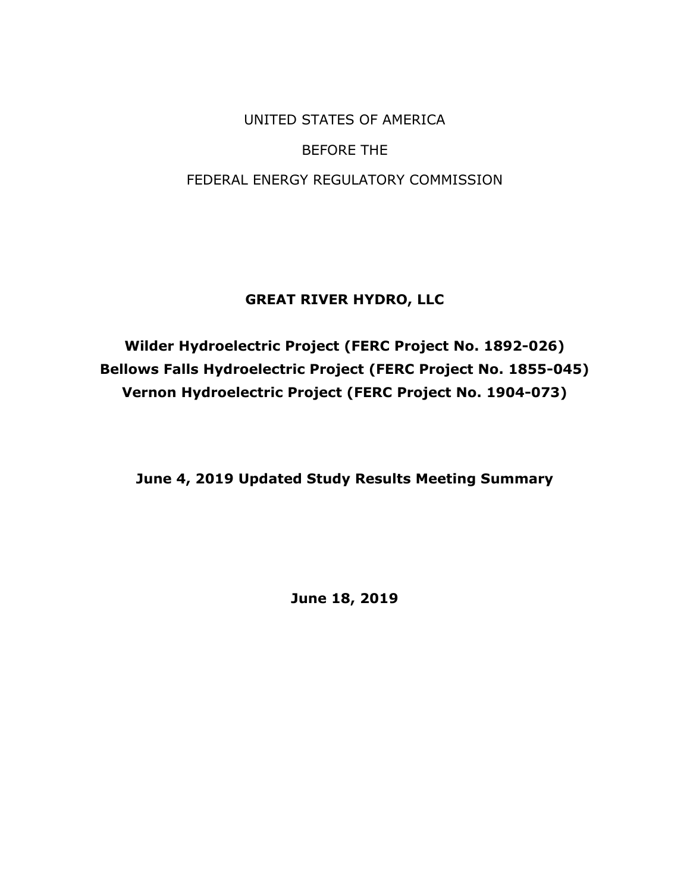UNITED STATES OF AMERICA BEFORE THE FEDERAL ENERGY REGULATORY COMMISSION

# **GREAT RIVER HYDRO, LLC**

**Wilder Hydroelectric Project (FERC Project No. 1892-026) Bellows Falls Hydroelectric Project (FERC Project No. 1855-045) Vernon Hydroelectric Project (FERC Project No. 1904-073)**

**June 4, 2019 Updated Study Results Meeting Summary** 

**June 18, 2019**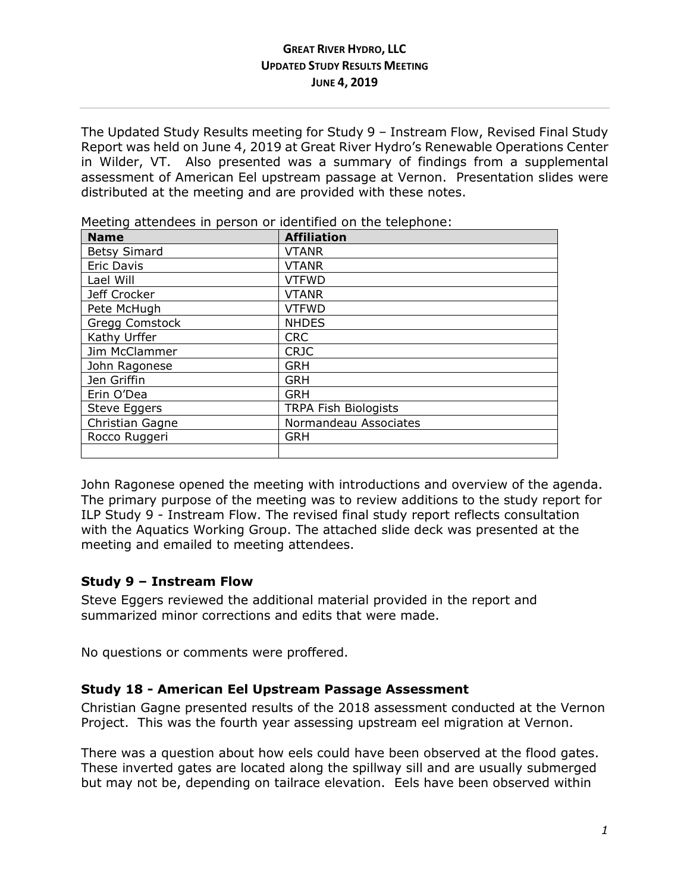### **GREAT RIVER HYDRO, LLC UPDATED STUDY RESULTS MEETING JUNE 4, 2019**

The Updated Study Results meeting for Study 9 – Instream Flow, Revised Final Study Report was held on June 4, 2019 at Great River Hydro's Renewable Operations Center in Wilder, VT. Also presented was a summary of findings from a supplemental assessment of American Eel upstream passage at Vernon. Presentation slides were distributed at the meeting and are provided with these notes.

| <b>Name</b>         | <b>Affiliation</b>          |
|---------------------|-----------------------------|
| <b>Betsy Simard</b> | <b>VTANR</b>                |
| <b>Eric Davis</b>   | <b>VTANR</b>                |
| Lael Will           | <b>VTFWD</b>                |
| Jeff Crocker        | <b>VTANR</b>                |
| Pete McHugh         | <b>VTFWD</b>                |
| Gregg Comstock      | <b>NHDES</b>                |
| Kathy Urffer        | <b>CRC</b>                  |
| Jim McClammer       | <b>CRJC</b>                 |
| John Ragonese       | <b>GRH</b>                  |
| Jen Griffin         | <b>GRH</b>                  |
| Erin O'Dea          | <b>GRH</b>                  |
| <b>Steve Eggers</b> | <b>TRPA Fish Biologists</b> |
| Christian Gagne     | Normandeau Associates       |
| Rocco Ruggeri       | <b>GRH</b>                  |
|                     |                             |

Meeting attendees in person or identified on the telephone:

John Ragonese opened the meeting with introductions and overview of the agenda. The primary purpose of the meeting was to review additions to the study report for ILP Study 9 - Instream Flow. The revised final study report reflects consultation with the Aquatics Working Group. The attached slide deck was presented at the meeting and emailed to meeting attendees.

## **Study 9 – Instream Flow**

Steve Eggers reviewed the additional material provided in the report and summarized minor corrections and edits that were made.

No questions or comments were proffered.

## **Study 18 - American Eel Upstream Passage Assessment**

Christian Gagne presented results of the 2018 assessment conducted at the Vernon Project. This was the fourth year assessing upstream eel migration at Vernon.

There was a question about how eels could have been observed at the flood gates. These inverted gates are located along the spillway sill and are usually submerged but may not be, depending on tailrace elevation. Eels have been observed within